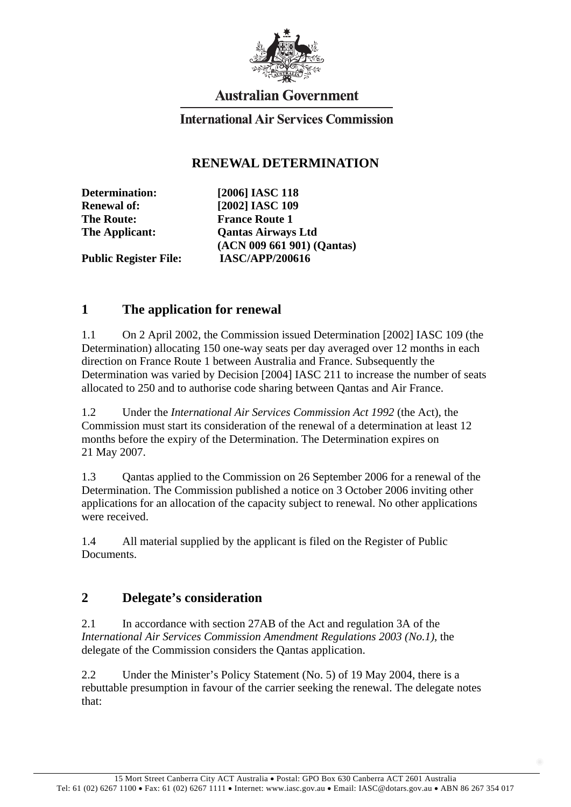

# **Australian Government**

#### **International Air Services Commission**

#### **RENEWAL DETERMINATION**

**The Route:** France Route 1

**Determination: [2006] IASC 118 Renewal of: [2002] IASC 109 The Applicant: Qantas Airways Ltd (ACN 009 661 901) (Qantas) Public Register File: IASC/APP/200616** 

## **1 The application for renewal**

1.1 On 2 April 2002, the Commission issued Determination [2002] IASC 109 (the Determination) allocating 150 one-way seats per day averaged over 12 months in each direction on France Route 1 between Australia and France. Subsequently the Determination was varied by Decision [2004] IASC 211 to increase the number of seats allocated to 250 and to authorise code sharing between Qantas and Air France.

1.2 Under the *International Air Services Commission Act 1992* (the Act), the Commission must start its consideration of the renewal of a determination at least 12 months before the expiry of the Determination. The Determination expires on 21 May 2007.

1.3 Qantas applied to the Commission on 26 September 2006 for a renewal of the Determination. The Commission published a notice on 3 October 2006 inviting other applications for an allocation of the capacity subject to renewal. No other applications were received.

1.4 All material supplied by the applicant is filed on the Register of Public Documents.

## **2 Delegate's consideration**

2.1 In accordance with section 27AB of the Act and regulation 3A of the *International Air Services Commission Amendment Regulations 2003 (No.1)*, the delegate of the Commission considers the Qantas application.

2.2 Under the Minister's Policy Statement (No. 5) of 19 May 2004, there is a rebuttable presumption in favour of the carrier seeking the renewal. The delegate notes that: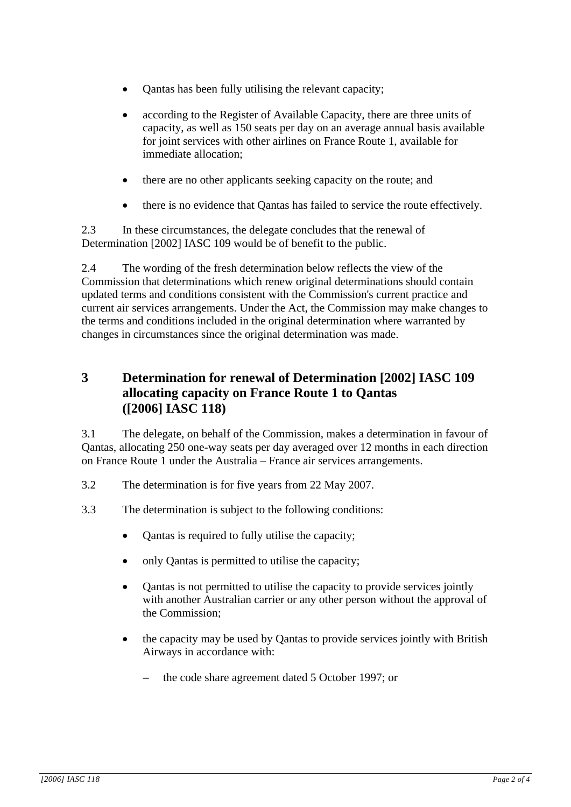- Qantas has been fully utilising the relevant capacity;
- according to the Register of Available Capacity, there are three units of capacity, as well as 150 seats per day on an average annual basis available for joint services with other airlines on France Route 1, available for immediate allocation;
- there are no other applicants seeking capacity on the route; and
- there is no evidence that Qantas has failed to service the route effectively.

2.3 In these circumstances, the delegate concludes that the renewal of Determination [2002] IASC 109 would be of benefit to the public.

2.4 The wording of the fresh determination below reflects the view of the Commission that determinations which renew original determinations should contain updated terms and conditions consistent with the Commission's current practice and current air services arrangements. Under the Act, the Commission may make changes to the terms and conditions included in the original determination where warranted by changes in circumstances since the original determination was made.

## **3 Determination for renewal of Determination [2002] IASC 109 allocating capacity on France Route 1 to Qantas ([2006] IASC 118)**

3.1 The delegate, on behalf of the Commission, makes a determination in favour of Qantas, allocating 250 one-way seats per day averaged over 12 months in each direction on France Route 1 under the Australia – France air services arrangements.

- 3.2 The determination is for five years from 22 May 2007.
- 3.3 The determination is subject to the following conditions:
	- Qantas is required to fully utilise the capacity;
	- only Oantas is permitted to utilise the capacity;
	- Qantas is not permitted to utilise the capacity to provide services jointly with another Australian carrier or any other person without the approval of the Commission;
	- the capacity may be used by Qantas to provide services jointly with British Airways in accordance with:
		- the code share agreement dated 5 October 1997; or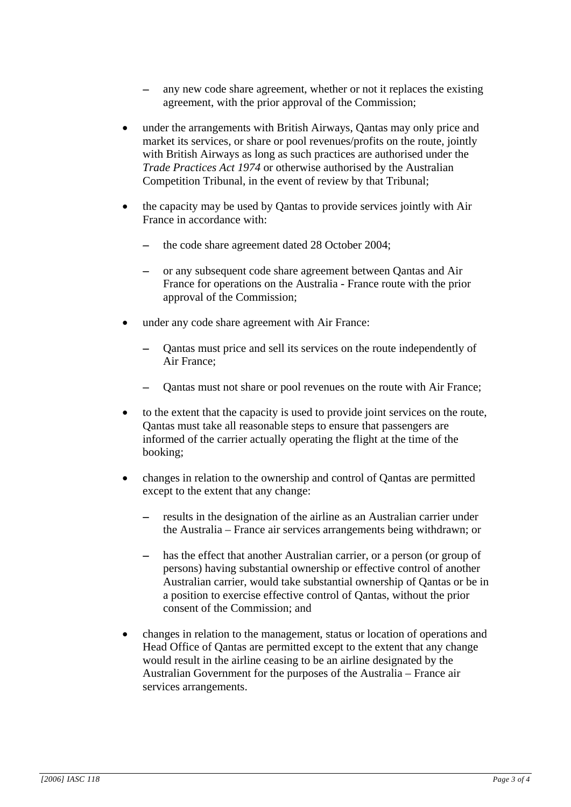- any new code share agreement, whether or not it replaces the existing agreement, with the prior approval of the Commission;
- under the arrangements with British Airways, Qantas may only price and market its services, or share or pool revenues/profits on the route, jointly with British Airways as long as such practices are authorised under the *Trade Practices Act 1974* or otherwise authorised by the Australian Competition Tribunal, in the event of review by that Tribunal;
- the capacity may be used by Qantas to provide services jointly with Air France in accordance with:
	- the code share agreement dated 28 October 2004;
	- − or any subsequent code share agreement between Qantas and Air France for operations on the Australia - France route with the prior approval of the Commission;
- under any code share agreement with Air France:
	- Qantas must price and sell its services on the route independently of Air France;
	- Qantas must not share or pool revenues on the route with Air France;
- to the extent that the capacity is used to provide joint services on the route, Qantas must take all reasonable steps to ensure that passengers are informed of the carrier actually operating the flight at the time of the booking;
- changes in relation to the ownership and control of Qantas are permitted except to the extent that any change:
	- − results in the designation of the airline as an Australian carrier under the Australia – France air services arrangements being withdrawn; or
	- has the effect that another Australian carrier, or a person (or group of persons) having substantial ownership or effective control of another Australian carrier, would take substantial ownership of Qantas or be in a position to exercise effective control of Qantas, without the prior consent of the Commission; and
- changes in relation to the management, status or location of operations and Head Office of Qantas are permitted except to the extent that any change would result in the airline ceasing to be an airline designated by the Australian Government for the purposes of the Australia – France air services arrangements.